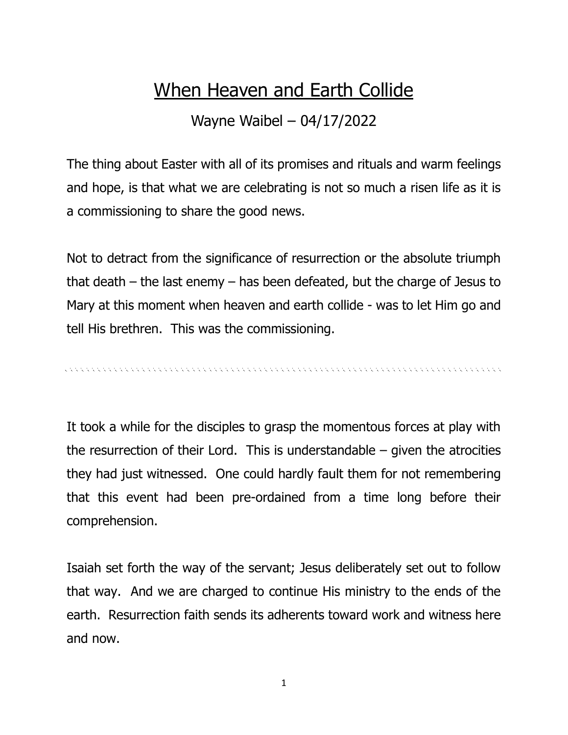## When Heaven and Earth Collide

Wayne Waibel – 04/17/2022

The thing about Easter with all of its promises and rituals and warm feelings and hope, is that what we are celebrating is not so much a risen life as it is a commissioning to share the good news.

Not to detract from the significance of resurrection or the absolute triumph that death – the last enemy – has been defeated, but the charge of Jesus to Mary at this moment when heaven and earth collide - was to let Him go and tell His brethren. This was the commissioning.

It took a while for the disciples to grasp the momentous forces at play with the resurrection of their Lord. This is understandable  $-$  given the atrocities they had just witnessed. One could hardly fault them for not remembering that this event had been pre-ordained from a time long before their comprehension.

Isaiah set forth the way of the servant; Jesus deliberately set out to follow that way. And we are charged to continue His ministry to the ends of the earth. Resurrection faith sends its adherents toward work and witness here and now.

1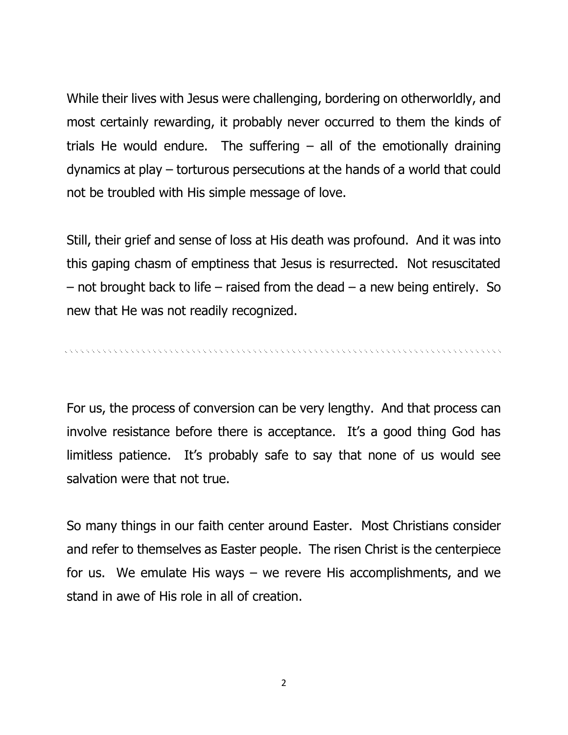While their lives with Jesus were challenging, bordering on otherworldly, and most certainly rewarding, it probably never occurred to them the kinds of trials He would endure. The suffering  $-$  all of the emotionally draining dynamics at play – torturous persecutions at the hands of a world that could not be troubled with His simple message of love.

Still, their grief and sense of loss at His death was profound. And it was into this gaping chasm of emptiness that Jesus is resurrected. Not resuscitated  $-$  not brought back to life – raised from the dead  $-$  a new being entirely. So new that He was not readily recognized.

For us, the process of conversion can be very lengthy. And that process can involve resistance before there is acceptance. It's a good thing God has limitless patience. It's probably safe to say that none of us would see salvation were that not true.

So many things in our faith center around Easter. Most Christians consider and refer to themselves as Easter people. The risen Christ is the centerpiece for us. We emulate His ways – we revere His accomplishments, and we stand in awe of His role in all of creation.

2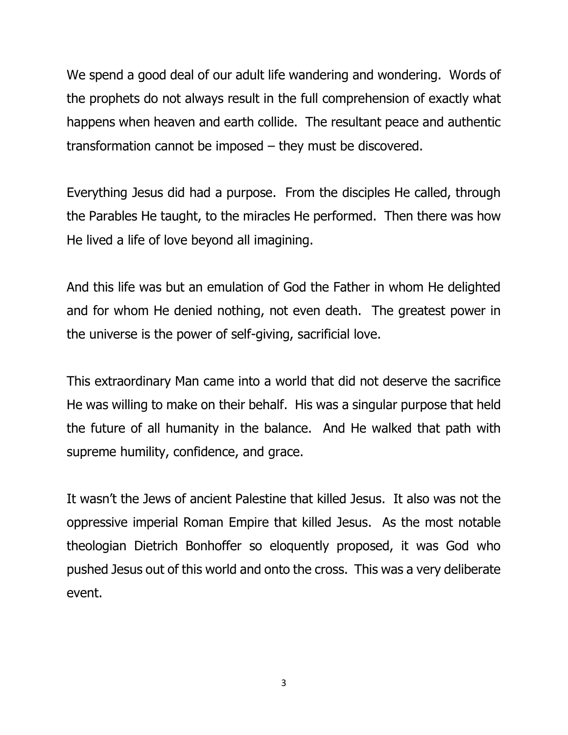We spend a good deal of our adult life wandering and wondering. Words of the prophets do not always result in the full comprehension of exactly what happens when heaven and earth collide. The resultant peace and authentic transformation cannot be imposed – they must be discovered.

Everything Jesus did had a purpose. From the disciples He called, through the Parables He taught, to the miracles He performed. Then there was how He lived a life of love beyond all imagining.

And this life was but an emulation of God the Father in whom He delighted and for whom He denied nothing, not even death. The greatest power in the universe is the power of self-giving, sacrificial love.

This extraordinary Man came into a world that did not deserve the sacrifice He was willing to make on their behalf. His was a singular purpose that held the future of all humanity in the balance. And He walked that path with supreme humility, confidence, and grace.

It wasn't the Jews of ancient Palestine that killed Jesus. It also was not the oppressive imperial Roman Empire that killed Jesus. As the most notable theologian Dietrich Bonhoffer so eloquently proposed, it was God who pushed Jesus out of this world and onto the cross. This was a very deliberate event.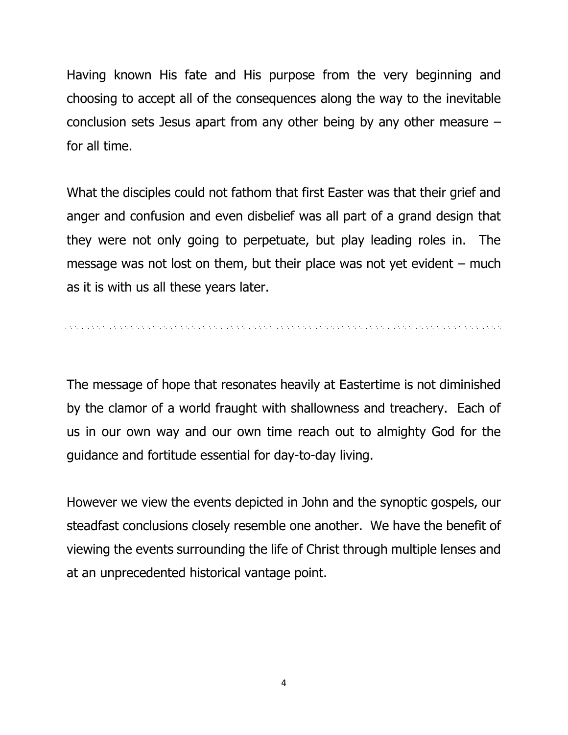Having known His fate and His purpose from the very beginning and choosing to accept all of the consequences along the way to the inevitable conclusion sets Jesus apart from any other being by any other measure – for all time.

What the disciples could not fathom that first Easter was that their grief and anger and confusion and even disbelief was all part of a grand design that they were not only going to perpetuate, but play leading roles in. The message was not lost on them, but their place was not yet evident  $-$  much as it is with us all these years later.

The message of hope that resonates heavily at Eastertime is not diminished by the clamor of a world fraught with shallowness and treachery. Each of us in our own way and our own time reach out to almighty God for the guidance and fortitude essential for day-to-day living.

However we view the events depicted in John and the synoptic gospels, our steadfast conclusions closely resemble one another. We have the benefit of viewing the events surrounding the life of Christ through multiple lenses and at an unprecedented historical vantage point.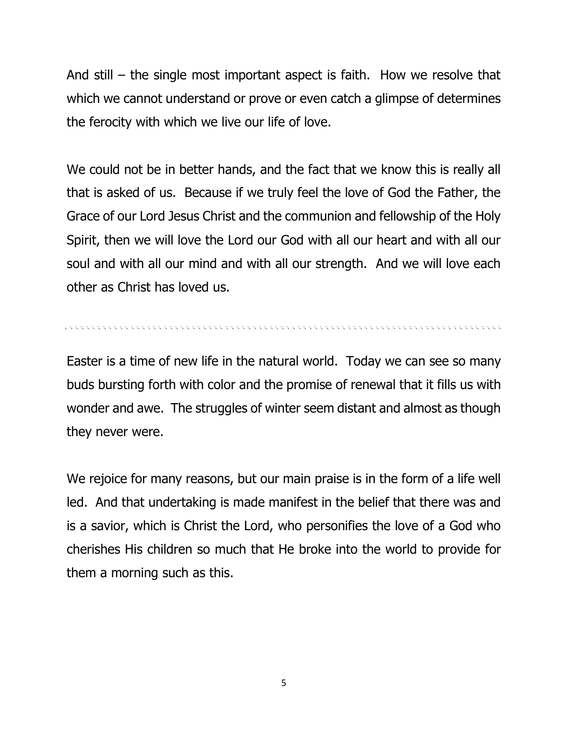And still – the single most important aspect is faith. How we resolve that which we cannot understand or prove or even catch a glimpse of determines the ferocity with which we live our life of love.

We could not be in better hands, and the fact that we know this is really all that is asked of us. Because if we truly feel the love of God the Father, the Grace of our Lord Jesus Christ and the communion and fellowship of the Holy Spirit, then we will love the Lord our God with all our heart and with all our soul and with all our mind and with all our strength. And we will love each other as Christ has loved us.

, a concert a concert and a concert and a concert and a concert and a concert and a concert and a concert and

Easter is a time of new life in the natural world. Today we can see so many buds bursting forth with color and the promise of renewal that it fills us with wonder and awe. The struggles of winter seem distant and almost as though they never were.

We rejoice for many reasons, but our main praise is in the form of a life well led. And that undertaking is made manifest in the belief that there was and is a savior, which is Christ the Lord, who personifies the love of a God who cherishes His children so much that He broke into the world to provide for them a morning such as this.